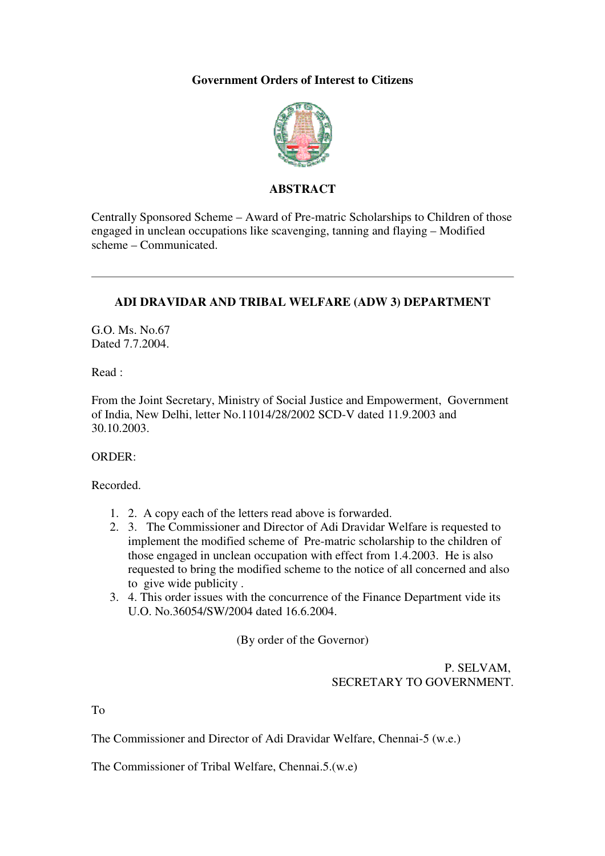# **Government Orders of Interest to Citizens**



## **ABSTRACT**

Centrally Sponsored Scheme – Award of Pre-matric Scholarships to Children of those engaged in unclean occupations like scavenging, tanning and flaying – Modified scheme – Communicated.

## **ADI DRAVIDAR AND TRIBAL WELFARE (ADW 3) DEPARTMENT**

G.O. Ms. No.67 Dated 7.7.2004.

Read :

From the Joint Secretary, Ministry of Social Justice and Empowerment, Government of India, New Delhi, letter No.11014/28/2002 SCD-V dated 11.9.2003 and 30.10.2003.

#### ORDER:

Recorded.

- 1. 2. A copy each of the letters read above is forwarded.
- 2. 3. The Commissioner and Director of Adi Dravidar Welfare is requested to implement the modified scheme of Pre-matric scholarship to the children of those engaged in unclean occupation with effect from 1.4.2003. He is also requested to bring the modified scheme to the notice of all concerned and also to give wide publicity .
- 3. 4. This order issues with the concurrence of the Finance Department vide its U.O. No.36054/SW/2004 dated 16.6.2004.

(By order of the Governor)

P. SELVAM, SECRETARY TO GOVERNMENT.

To

The Commissioner and Director of Adi Dravidar Welfare, Chennai-5 (w.e.)

The Commissioner of Tribal Welfare, Chennai.5.(w.e)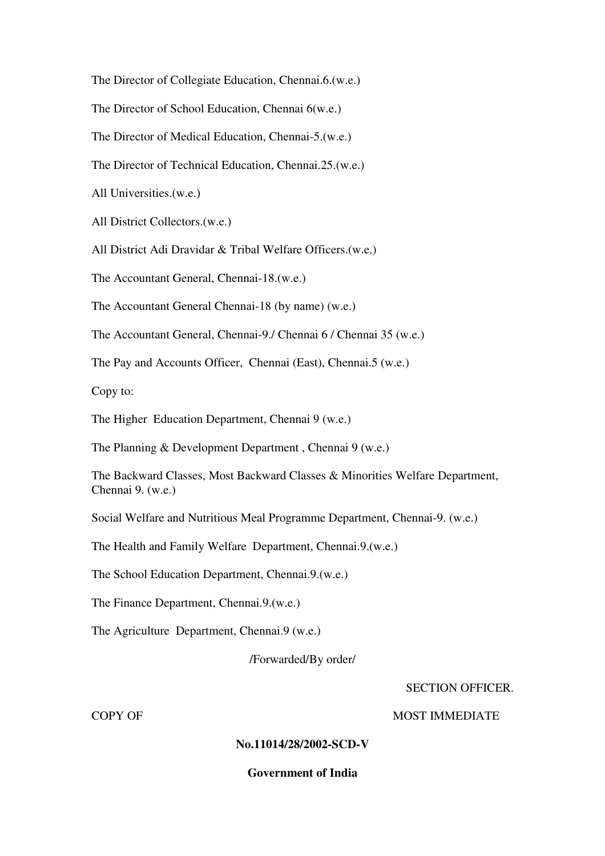The Director of Collegiate Education, Chennai.6.(w.e.)

The Director of School Education, Chennai 6(w.e.)

The Director of Medical Education, Chennai-5.(w.e.)

The Director of Technical Education, Chennai.25.(w.e.)

All Universities.(w.e.)

All District Collectors.(w.e.)

All District Adi Dravidar & Tribal Welfare Officers.(w.e.)

The Accountant General, Chennai-18.(w.e.)

The Accountant General Chennai-18 (by name) (w.e.)

The Accountant General, Chennai-9./ Chennai 6 / Chennai 35 (w.e.)

The Pay and Accounts Officer, Chennai (East), Chennai.5 (w.e.)

Copy to:

The Higher Education Department, Chennai 9 (w.e.)

The Planning & Development Department , Chennai 9 (w.e.)

The Backward Classes, Most Backward Classes & Minorities Welfare Department, Chennai 9. (w.e.)

Social Welfare and Nutritious Meal Programme Department, Chennai-9. (w.e.)

The Health and Family Welfare Department, Chennai.9.(w.e.)

The School Education Department, Chennai.9.(w.e.)

The Finance Department, Chennai.9.(w.e.)

The Agriculture Department, Chennai.9 (w.e.)

/Forwarded/By order/

SECTION OFFICER.

#### COPY OF THE MOST IMMEDIATE

## **No.11014/28/2002-SCD-V**

#### **Government of India**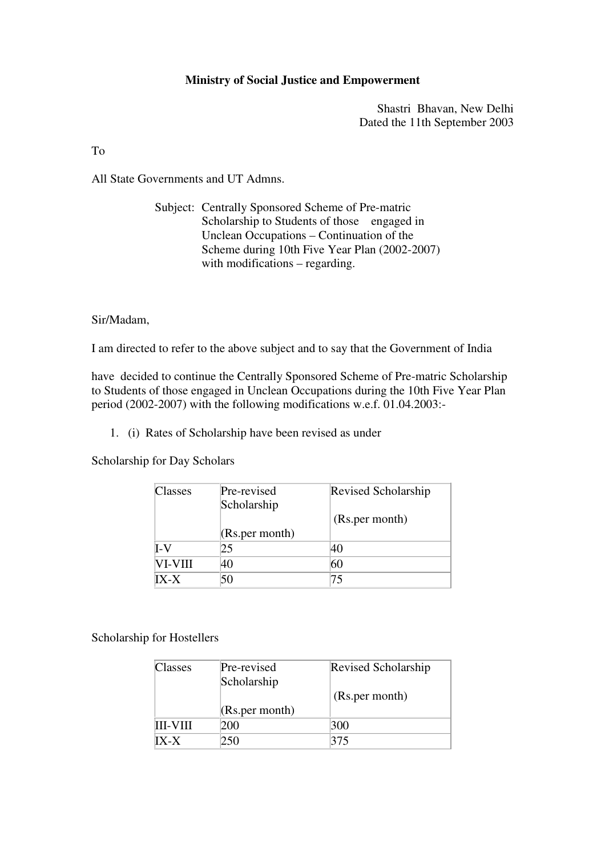## **Ministry of Social Justice and Empowerment**

Shastri Bhavan, New Delhi Dated the 11th September 2003

To

All State Governments and UT Admns.

Subject: Centrally Sponsored Scheme of Pre-matric Scholarship to Students of those engaged in Unclean Occupations – Continuation of the Scheme during 10th Five Year Plan (2002-2007) with modifications – regarding.

Sir/Madam,

I am directed to refer to the above subject and to say that the Government of India

have decided to continue the Centrally Sponsored Scheme of Pre-matric Scholarship to Students of those engaged in Unclean Occupations during the 10th Five Year Plan period (2002-2007) with the following modifications w.e.f. 01.04.2003:-

1. (i) Rates of Scholarship have been revised as under

Scholarship for Day Scholars

| Classes | Pre-revised     | <b>Revised Scholarship</b> |
|---------|-----------------|----------------------------|
|         | Scholarship     |                            |
|         |                 | (Rs.per month)             |
|         | (Rs. per month) |                            |
| I-V     | 25              | 40                         |
| VI-VIII | 40              | 60                         |
| $IX-X$  | 50              | 75                         |

Scholarship for Hostellers

| Classes  | Pre-revised<br>Scholarship | <b>Revised Scholarship</b> |
|----------|----------------------------|----------------------------|
|          |                            | (Rs.per month)             |
|          | (Rs.per month)             |                            |
| III-VIII | 200                        | 300                        |
| $IX-X$   | 250                        | 375                        |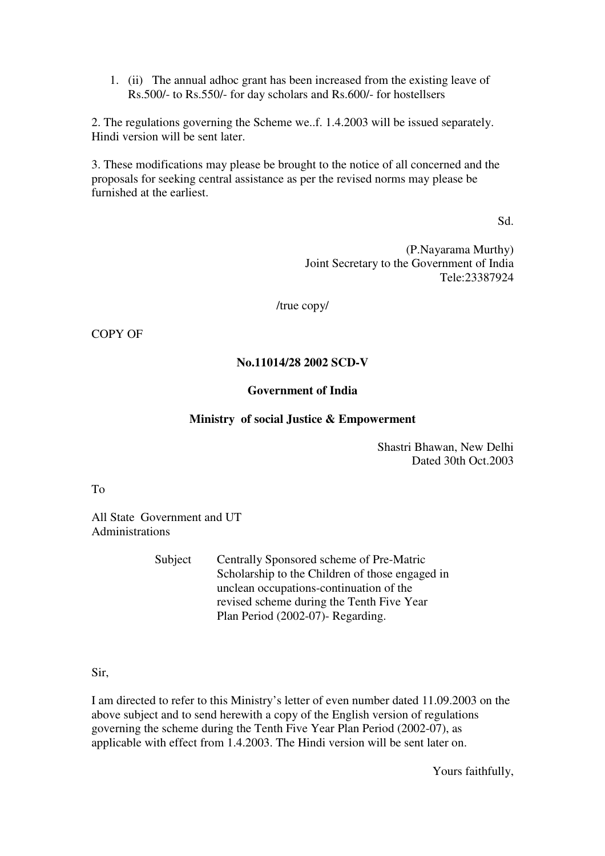1. (ii) The annual adhoc grant has been increased from the existing leave of Rs.500/- to Rs.550/- for day scholars and Rs.600/- for hostellsers

2. The regulations governing the Scheme we..f. 1.4.2003 will be issued separately. Hindi version will be sent later.

3. These modifications may please be brought to the notice of all concerned and the proposals for seeking central assistance as per the revised norms may please be furnished at the earliest.

Sd.

(P.Nayarama Murthy) Joint Secretary to the Government of India Tele:23387924

/true copy/

COPY OF

#### **No.11014/28 2002 SCD-V**

#### **Government of India**

#### **Ministry of social Justice & Empowerment**

Shastri Bhawan, New Delhi Dated 30th Oct.2003

To

All State Government and UT Administrations

> Subject Centrally Sponsored scheme of Pre-Matric Scholarship to the Children of those engaged in unclean occupations-continuation of the revised scheme during the Tenth Five Year Plan Period (2002-07)- Regarding.

#### Sir,

I am directed to refer to this Ministry's letter of even number dated 11.09.2003 on the above subject and to send herewith a copy of the English version of regulations governing the scheme during the Tenth Five Year Plan Period (2002-07), as applicable with effect from 1.4.2003. The Hindi version will be sent later on.

Yours faithfully,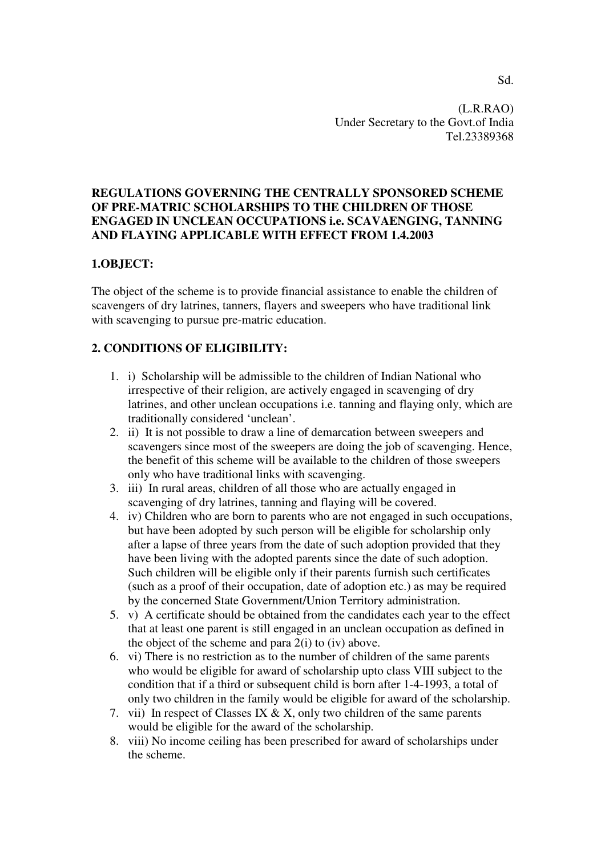(L.R.RAO) Under Secretary to the Govt.of India Tel.23389368

## **REGULATIONS GOVERNING THE CENTRALLY SPONSORED SCHEME OF PRE-MATRIC SCHOLARSHIPS TO THE CHILDREN OF THOSE ENGAGED IN UNCLEAN OCCUPATIONS i.e. SCAVAENGING, TANNING AND FLAYING APPLICABLE WITH EFFECT FROM 1.4.2003**

# **1.OBJECT:**

The object of the scheme is to provide financial assistance to enable the children of scavengers of dry latrines, tanners, flayers and sweepers who have traditional link with scavenging to pursue pre-matric education.

# **2. CONDITIONS OF ELIGIBILITY:**

- 1. i) Scholarship will be admissible to the children of Indian National who irrespective of their religion, are actively engaged in scavenging of dry latrines, and other unclean occupations i.e. tanning and flaying only, which are traditionally considered 'unclean'.
- 2. ii) It is not possible to draw a line of demarcation between sweepers and scavengers since most of the sweepers are doing the job of scavenging. Hence, the benefit of this scheme will be available to the children of those sweepers only who have traditional links with scavenging.
- 3. iii) In rural areas, children of all those who are actually engaged in scavenging of dry latrines, tanning and flaying will be covered.
- 4. iv) Children who are born to parents who are not engaged in such occupations, but have been adopted by such person will be eligible for scholarship only after a lapse of three years from the date of such adoption provided that they have been living with the adopted parents since the date of such adoption. Such children will be eligible only if their parents furnish such certificates (such as a proof of their occupation, date of adoption etc.) as may be required by the concerned State Government/Union Territory administration.
- 5. v) A certificate should be obtained from the candidates each year to the effect that at least one parent is still engaged in an unclean occupation as defined in the object of the scheme and para 2(i) to (iv) above.
- 6. vi) There is no restriction as to the number of children of the same parents who would be eligible for award of scholarship upto class VIII subject to the condition that if a third or subsequent child is born after 1-4-1993, a total of only two children in the family would be eligible for award of the scholarship.
- 7. vii) In respect of Classes IX  $& X$ , only two children of the same parents would be eligible for the award of the scholarship.
- 8. viii) No income ceiling has been prescribed for award of scholarships under the scheme.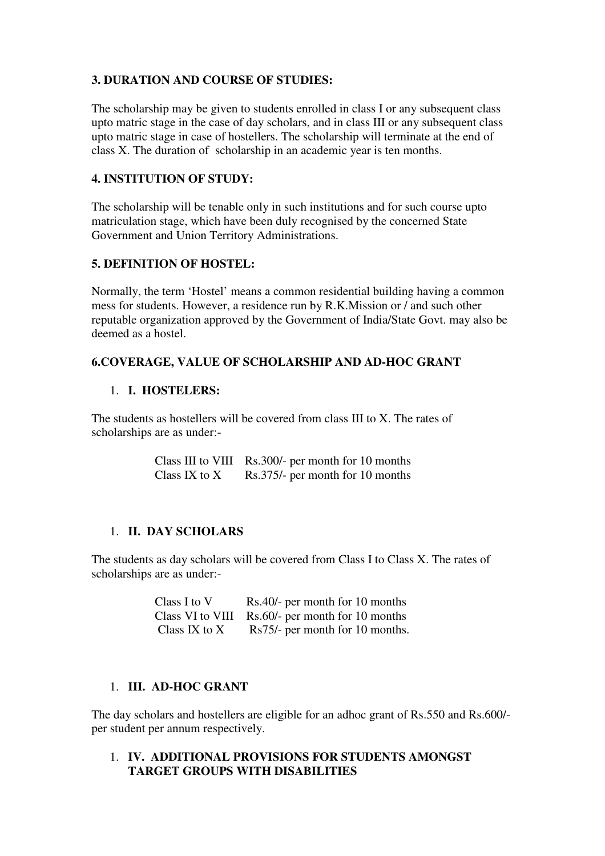# **3. DURATION AND COURSE OF STUDIES:**

The scholarship may be given to students enrolled in class I or any subsequent class upto matric stage in the case of day scholars, and in class III or any subsequent class upto matric stage in case of hostellers. The scholarship will terminate at the end of class X. The duration of scholarship in an academic year is ten months.

## **4. INSTITUTION OF STUDY:**

The scholarship will be tenable only in such institutions and for such course upto matriculation stage, which have been duly recognised by the concerned State Government and Union Territory Administrations.

## **5. DEFINITION OF HOSTEL:**

Normally, the term 'Hostel' means a common residential building having a common mess for students. However, a residence run by R.K.Mission or / and such other reputable organization approved by the Government of India/State Govt. may also be deemed as a hostel.

# **6.COVERAGE, VALUE OF SCHOLARSHIP AND AD-HOC GRANT**

## 1. **I. HOSTELERS:**

The students as hostellers will be covered from class III to X. The rates of scholarships are as under:-

|               | Class III to VIII Rs.300/- per month for 10 months |
|---------------|----------------------------------------------------|
| Class IX to X | Rs.375/- per month for 10 months                   |

#### 1. **II. DAY SCHOLARS**

The students as day scholars will be covered from Class I to Class X. The rates of scholarships are as under:-

| Class I to V     | Rs.40/- per month for 10 months |
|------------------|---------------------------------|
| Class VI to VIII | Rs.60/- per month for 10 months |
| Class IX to $X$  | Rs75/- per month for 10 months. |

# 1. **III. AD-HOC GRANT**

The day scholars and hostellers are eligible for an adhoc grant of Rs.550 and Rs.600/ per student per annum respectively.

## 1. **IV. ADDITIONAL PROVISIONS FOR STUDENTS AMONGST TARGET GROUPS WITH DISABILITIES**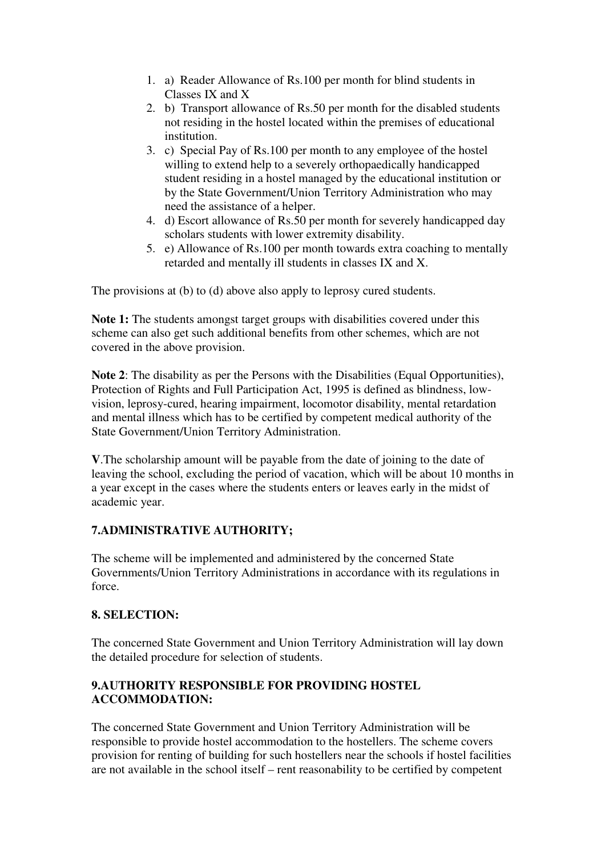- 1. a) Reader Allowance of Rs.100 per month for blind students in Classes IX and X
- 2. b) Transport allowance of Rs.50 per month for the disabled students not residing in the hostel located within the premises of educational institution.
- 3. c) Special Pay of Rs.100 per month to any employee of the hostel willing to extend help to a severely orthopaedically handicapped student residing in a hostel managed by the educational institution or by the State Government/Union Territory Administration who may need the assistance of a helper.
- 4. d) Escort allowance of Rs.50 per month for severely handicapped day scholars students with lower extremity disability.
- 5. e) Allowance of Rs.100 per month towards extra coaching to mentally retarded and mentally ill students in classes IX and X.

The provisions at (b) to (d) above also apply to leprosy cured students.

**Note 1:** The students amongst target groups with disabilities covered under this scheme can also get such additional benefits from other schemes, which are not covered in the above provision.

**Note 2**: The disability as per the Persons with the Disabilities (Equal Opportunities), Protection of Rights and Full Participation Act, 1995 is defined as blindness, lowvision, leprosy-cured, hearing impairment, locomotor disability, mental retardation and mental illness which has to be certified by competent medical authority of the State Government/Union Territory Administration.

**V**.The scholarship amount will be payable from the date of joining to the date of leaving the school, excluding the period of vacation, which will be about 10 months in a year except in the cases where the students enters or leaves early in the midst of academic year.

# **7.ADMINISTRATIVE AUTHORITY;**

The scheme will be implemented and administered by the concerned State Governments/Union Territory Administrations in accordance with its regulations in force.

# **8. SELECTION:**

The concerned State Government and Union Territory Administration will lay down the detailed procedure for selection of students.

# **9.AUTHORITY RESPONSIBLE FOR PROVIDING HOSTEL ACCOMMODATION:**

The concerned State Government and Union Territory Administration will be responsible to provide hostel accommodation to the hostellers. The scheme covers provision for renting of building for such hostellers near the schools if hostel facilities are not available in the school itself – rent reasonability to be certified by competent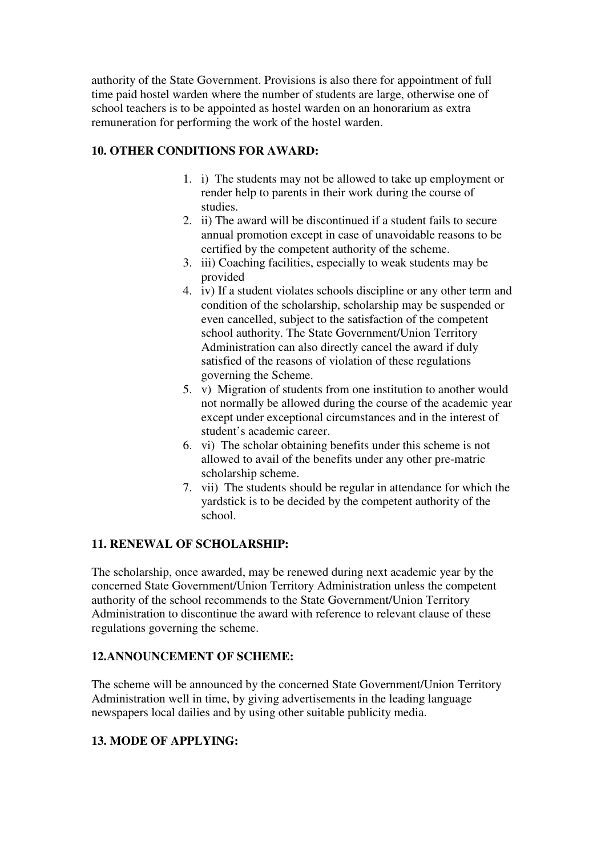authority of the State Government. Provisions is also there for appointment of full time paid hostel warden where the number of students are large, otherwise one of school teachers is to be appointed as hostel warden on an honorarium as extra remuneration for performing the work of the hostel warden.

# **10. OTHER CONDITIONS FOR AWARD:**

- 1. i) The students may not be allowed to take up employment or render help to parents in their work during the course of studies.
- 2. ii) The award will be discontinued if a student fails to secure annual promotion except in case of unavoidable reasons to be certified by the competent authority of the scheme.
- 3. iii) Coaching facilities, especially to weak students may be provided
- 4. iv) If a student violates schools discipline or any other term and condition of the scholarship, scholarship may be suspended or even cancelled, subject to the satisfaction of the competent school authority. The State Government/Union Territory Administration can also directly cancel the award if duly satisfied of the reasons of violation of these regulations governing the Scheme.
- 5. v) Migration of students from one institution to another would not normally be allowed during the course of the academic year except under exceptional circumstances and in the interest of student's academic career.
- 6. vi) The scholar obtaining benefits under this scheme is not allowed to avail of the benefits under any other pre-matric scholarship scheme.
- 7. vii) The students should be regular in attendance for which the yardstick is to be decided by the competent authority of the school.

# **11. RENEWAL OF SCHOLARSHIP:**

The scholarship, once awarded, may be renewed during next academic year by the concerned State Government/Union Territory Administration unless the competent authority of the school recommends to the State Government/Union Territory Administration to discontinue the award with reference to relevant clause of these regulations governing the scheme.

# **12.ANNOUNCEMENT OF SCHEME:**

The scheme will be announced by the concerned State Government/Union Territory Administration well in time, by giving advertisements in the leading language newspapers local dailies and by using other suitable publicity media.

# **13. MODE OF APPLYING:**